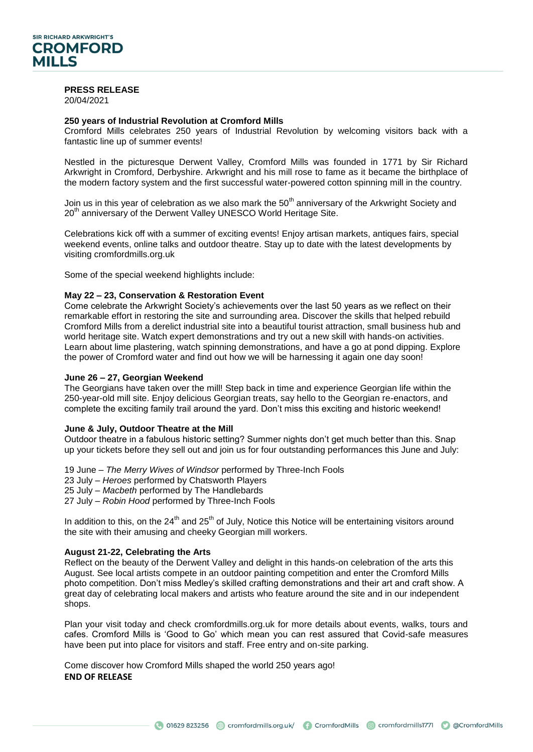

# **PRESS RELEASE**

20/04/2021

## **250 years of Industrial Revolution at Cromford Mills**

Cromford Mills celebrates 250 years of Industrial Revolution by welcoming visitors back with a fantastic line up of summer events!

Nestled in the picturesque Derwent Valley, Cromford Mills was founded in 1771 by Sir Richard Arkwright in Cromford, Derbyshire. Arkwright and his mill rose to fame as it became the birthplace of the modern factory system and the first successful water-powered cotton spinning mill in the country.

Join us in this year of celebration as we also mark the  $50<sup>th</sup>$  anniversary of the Arkwright Society and 20<sup>th</sup> anniversary of the Derwent Valley UNESCO World Heritage Site.

Celebrations kick off with a summer of exciting events! Enjoy artisan markets, antiques fairs, special weekend events, online talks and outdoor theatre. Stay up to date with the latest developments by visiting cromfordmills.org.uk

Some of the special weekend highlights include:

# **May 22 – 23, Conservation & Restoration Event**

Come celebrate the Arkwright Society's achievements over the last 50 years as we reflect on their remarkable effort in restoring the site and surrounding area. Discover the skills that helped rebuild Cromford Mills from a derelict industrial site into a beautiful tourist attraction, small business hub and world heritage site. Watch expert demonstrations and try out a new skill with hands-on activities. Learn about lime plastering, watch spinning demonstrations, and have a go at pond dipping. Explore the power of Cromford water and find out how we will be harnessing it again one day soon!

#### **June 26 – 27, Georgian Weekend**

The Georgians have taken over the mill! Step back in time and experience Georgian life within the 250-year-old mill site. Enjoy delicious Georgian treats, say hello to the Georgian re-enactors, and complete the exciting family trail around the yard. Don't miss this exciting and historic weekend!

#### **June & July, Outdoor Theatre at the Mill**

Outdoor theatre in a fabulous historic setting? Summer nights don't get much better than this. Snap up your tickets before they sell out and join us for four outstanding performances this June and July:

- 19 June *The Merry Wives of Windsor* performed by Three-Inch Fools
- 23 July *Heroes* performed by Chatsworth Players
- 25 July *Macbeth* performed by The Handlebards
- 27 July *Robin Hood* performed by Three-Inch Fools

In addition to this, on the  $24<sup>th</sup>$  and  $25<sup>th</sup>$  of July, Notice this Notice will be entertaining visitors around the site with their amusing and cheeky Georgian mill workers.

#### **August 21-22, Celebrating the Arts**

Reflect on the beauty of the Derwent Valley and delight in this hands-on celebration of the arts this August. See local artists compete in an outdoor painting competition and enter the Cromford Mills photo competition. Don't miss Medley's skilled crafting demonstrations and their art and craft show. A great day of celebrating local makers and artists who feature around the site and in our independent shops.

Plan your visit today and check cromfordmills.org.uk for more details about events, walks, tours and cafes. Cromford Mills is 'Good to Go' which mean you can rest assured that Covid-safe measures have been put into place for visitors and staff. Free entry and on-site parking.

Come discover how Cromford Mills shaped the world 250 years ago! **END OF RELEASE**